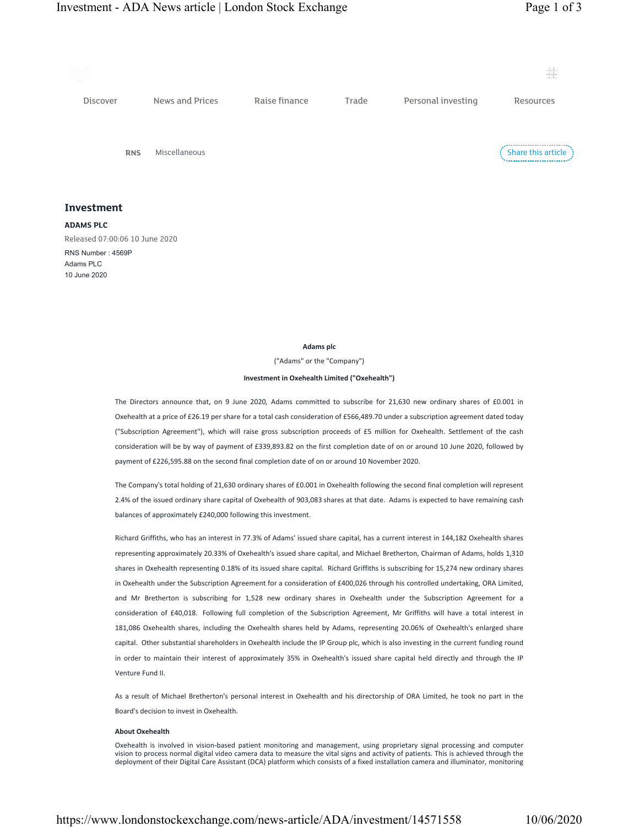

## Investment

ADAMS PLC

Released 07:00:06 10 June 2020 RNS Number : 4569P Adams PLC 10 June 2020

## Adams plc

("Adams" or the "Company")

## Investment in Oxehealth Limited ("Oxehealth")

The Directors announce that, on 9 June 2020, Adams committed to subscribe for 21,630 new ordinary shares of £0.001 in Oxehealth at a price of £26.19 per share for a total cash consideration of £566,489.70 under a subscription agreement dated today ("Subscription Agreement"), which will raise gross subscription proceeds of £5 million for Oxehealth. Settlement of the cash consideration will be by way of payment of £339,893.82 on the first completion date of on or around 10 June 2020, followed by payment of £226,595.88 on the second final completion date of on or around 10 November 2020.

The Company's total holding of 21,630 ordinary shares of £0.001 in Oxehealth following the second final completion will represent 2.4% of the issued ordinary share capital of Oxehealth of 903,083 shares at that date. Adams is expected to have remaining cash balances of approximately £240,000 following this investment.

Richard Griffiths, who has an interest in 77.3% of Adams' issued share capital, has a current interest in 144,182 Oxehealth shares representing approximately 20.33% of Oxehealth's issued share capital, and Michael Bretherton, Chairman of Adams, holds 1,310 shares in Oxehealth representing 0.18% of its issued share capital. Richard Griffiths is subscribing for 15,274 new ordinary shares in Oxehealth under the Subscription Agreement for a consideration of £400,026 through his controlled undertaking, ORA Limited, and Mr Bretherton is subscribing for 1,528 new ordinary shares in Oxehealth under the Subscription Agreement for a consideration of £40,018. Following full completion of the Subscription Agreement, Mr Griffiths will have a total interest in 181,086 Oxehealth shares, including the Oxehealth shares held by Adams, representing 20.06% of Oxehealth's enlarged share capital. Other substantial shareholders in Oxehealth include the IP Group plc, which is also investing in the current funding round in order to maintain their interest of approximately 35% in Oxehealth's issued share capital held directly and through the IP Venture Fund II.

As a result of Michael Bretherton's personal interest in Oxehealth and his directorship of ORA Limited, he took no part in the Board's decision to invest in Oxehealth.

## About Oxehealth

Oxehealth is involved in vision-based patient monitoring and management, using proprietary signal processing and computer vision to process normal digital video camera data to measure the vital signs and activity of patients. This is achieved through the deployment of their Digital Care Assistant (DCA) platform which consists of a fixed installation camera and illuminator, monitoring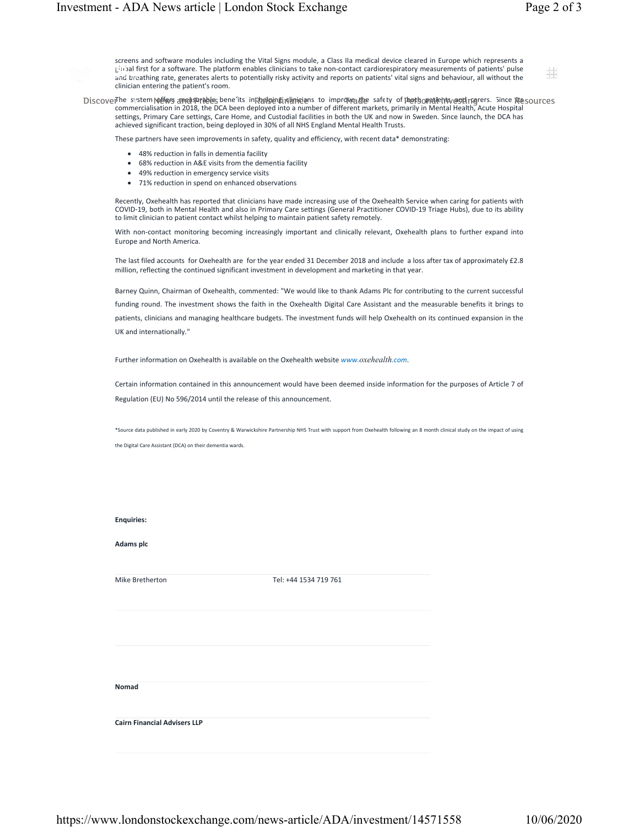井

screens and software modules including the Vital Signs module, a Class IIa medical device cleared in Europe which represents a global first for a software. The platform enables clinicians to take non-contact cardiorespiratory measurements of patients' pulse and breathing rate, generates alerts to potentially risky activity and reports on patients' vital signs and behaviour, all without the clinician entering the patient's room.

The system podicys ameasurables benefits in parlemating instinctions to improve die safety of pooth opatients and regering carers. Since play DiscoverThe system **\@f@**g ama@amables bene its inRhalbinginging to improye<sub>a</sub>lthe safety of plothsopalients,@eplingrers. Since ite sources<br>commercialisation in 2018, the DCA been deployed into a number of different mark settings, Primary Care settings, Care Home, and Custodial facilities in both the UK and now in Sweden. Since launch, the DCA has achieved significant traction, being deployed in 30% of all NHS England Mental Health Trusts.

These partners have seen improvements in safety, quality and efficiency, with recent data\* demonstrating:

- · 48% reduction in falls in dementia facility
- · 68% reduction in A&E visits from the dementia facility
- · 49% reduction in emergency service visits
- · 71% reduction in spend on enhanced observations

Recently, Oxehealth has reported that clinicians have made increasing use of the Oxehealth Service when caring for patients with COVID-19, both in Mental Health and also in Primary Care settings (General Practitioner COVID-19 Triage Hubs), due to its ability to limit clinician to patient contact whilst helping to maintain patient safety remotely.

With non-contact monitoring becoming increasingly important and clinically relevant, Oxehealth plans to further expand into Europe and North America.

The last filed accounts for Oxehealth are for the year ended 31 December 2018 and include a loss after tax of approximately £2.8 million, reflecting the continued significant investment in development and marketing in that year.

Barney Quinn, Chairman of Oxehealth, commented: "We would like to thank Adams Plc for contributing to the current successful funding round. The investment shows the faith in the Oxehealth Digital Care Assistant and the measurable benefits it brings to patients, clinicians and managing healthcare budgets. The investment funds will help Oxehealth on its continued expansion in the UK and internationally."

Further information on Oxehealth is available on the Oxehealth website www.oxehealth.com.

Certain information contained in this announcement would have been deemed inside information for the purposes of Article 7 of Regulation (EU) No 596/2014 until the release of this announcement.

\*Source data published in early 2020 by Coventry & Warwickshire Partnership NHS Trust with support from Oxehealth following an 8 month clinical study on the impact of using the Digital Care Assistant (DCA) on their dementia wards.

| <b>Enquiries:</b> |  |
|-------------------|--|
|                   |  |
|                   |  |

Adams plc

Mike Bretherton Tel: +44 1534 719 761

Nomad

Cairn Financial Advisers LLP